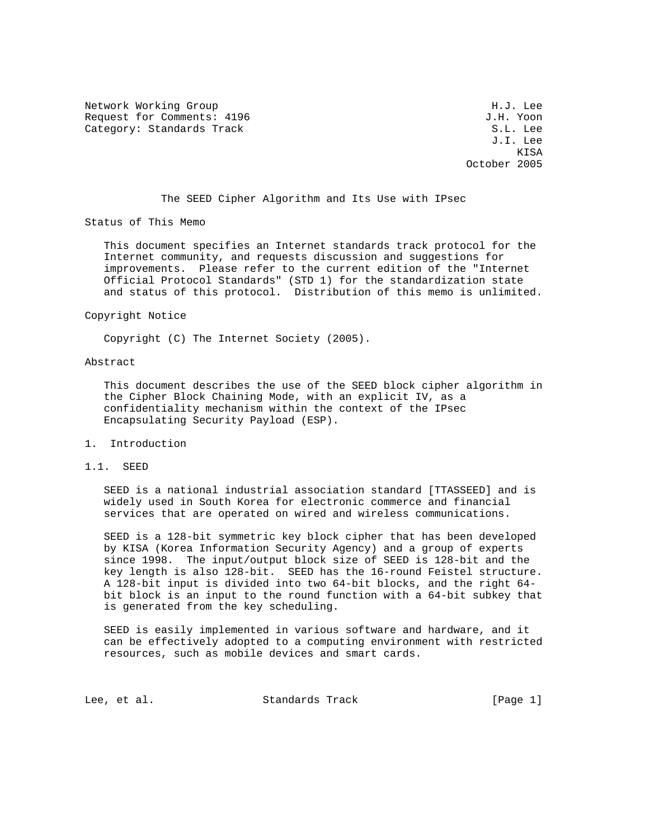Network Working Group Network More Services and Muslim H.J. Lee Request for Comments: 4196  $J.H.$  Yoon Category: Standards Track S.L. Lee

 J.I. Lee **KISA** October 2005

The SEED Cipher Algorithm and Its Use with IPsec

Status of This Memo

 This document specifies an Internet standards track protocol for the Internet community, and requests discussion and suggestions for improvements. Please refer to the current edition of the "Internet Official Protocol Standards" (STD 1) for the standardization state and status of this protocol. Distribution of this memo is unlimited.

Copyright Notice

Copyright (C) The Internet Society (2005).

### Abstract

 This document describes the use of the SEED block cipher algorithm in the Cipher Block Chaining Mode, with an explicit IV, as a confidentiality mechanism within the context of the IPsec Encapsulating Security Payload (ESP).

- 1. Introduction
- 1.1. SEED

 SEED is a national industrial association standard [TTASSEED] and is widely used in South Korea for electronic commerce and financial services that are operated on wired and wireless communications.

 SEED is a 128-bit symmetric key block cipher that has been developed by KISA (Korea Information Security Agency) and a group of experts since 1998. The input/output block size of SEED is 128-bit and the key length is also 128-bit. SEED has the 16-round Feistel structure. A 128-bit input is divided into two 64-bit blocks, and the right 64 bit block is an input to the round function with a 64-bit subkey that is generated from the key scheduling.

 SEED is easily implemented in various software and hardware, and it can be effectively adopted to a computing environment with restricted resources, such as mobile devices and smart cards.

Lee, et al. Standards Track [Page 1]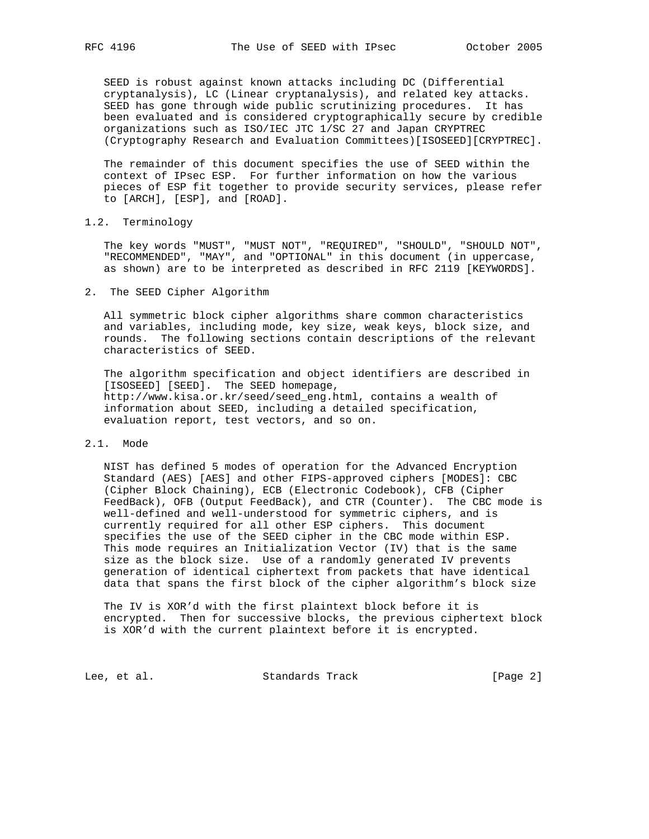SEED is robust against known attacks including DC (Differential cryptanalysis), LC (Linear cryptanalysis), and related key attacks. SEED has gone through wide public scrutinizing procedures. It has been evaluated and is considered cryptographically secure by credible organizations such as ISO/IEC JTC 1/SC 27 and Japan CRYPTREC (Cryptography Research and Evaluation Committees)[ISOSEED][CRYPTREC].

 The remainder of this document specifies the use of SEED within the context of IPsec ESP. For further information on how the various pieces of ESP fit together to provide security services, please refer to [ARCH], [ESP], and [ROAD].

1.2. Terminology

 The key words "MUST", "MUST NOT", "REQUIRED", "SHOULD", "SHOULD NOT", "RECOMMENDED", "MAY", and "OPTIONAL" in this document (in uppercase, as shown) are to be interpreted as described in RFC 2119 [KEYWORDS].

2. The SEED Cipher Algorithm

 All symmetric block cipher algorithms share common characteristics and variables, including mode, key size, weak keys, block size, and rounds. The following sections contain descriptions of the relevant characteristics of SEED.

 The algorithm specification and object identifiers are described in [ISOSEED] [SEED]. The SEED homepage, http://www.kisa.or.kr/seed/seed\_eng.html, contains a wealth of information about SEED, including a detailed specification, evaluation report, test vectors, and so on.

#### 2.1. Mode

 NIST has defined 5 modes of operation for the Advanced Encryption Standard (AES) [AES] and other FIPS-approved ciphers [MODES]: CBC (Cipher Block Chaining), ECB (Electronic Codebook), CFB (Cipher FeedBack), OFB (Output FeedBack), and CTR (Counter). The CBC mode is well-defined and well-understood for symmetric ciphers, and is currently required for all other ESP ciphers. This document specifies the use of the SEED cipher in the CBC mode within ESP. This mode requires an Initialization Vector (IV) that is the same size as the block size. Use of a randomly generated IV prevents generation of identical ciphertext from packets that have identical data that spans the first block of the cipher algorithm's block size

 The IV is XOR'd with the first plaintext block before it is encrypted. Then for successive blocks, the previous ciphertext block is XOR'd with the current plaintext before it is encrypted.

Lee, et al. Standards Track [Page 2]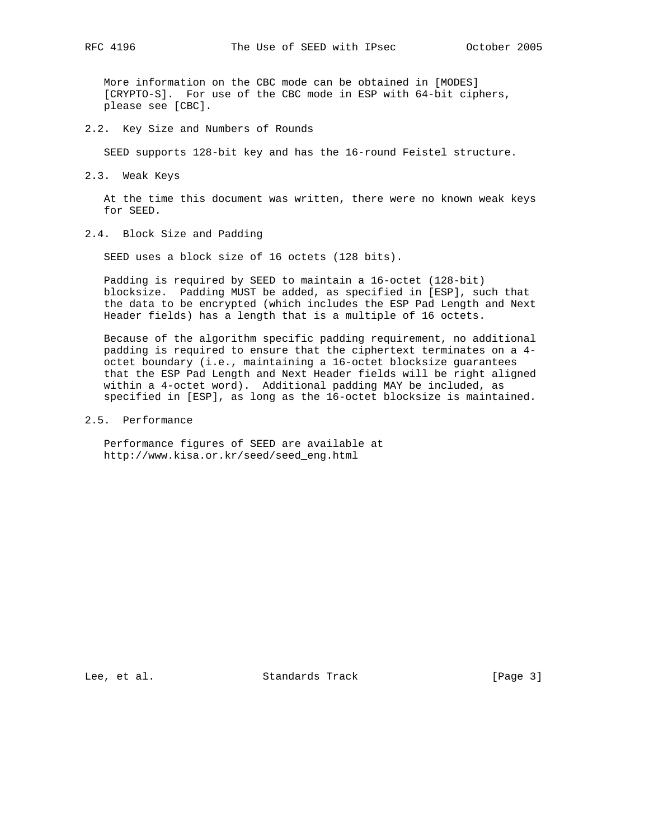More information on the CBC mode can be obtained in [MODES] [CRYPTO-S]. For use of the CBC mode in ESP with 64-bit ciphers, please see [CBC].

2.2. Key Size and Numbers of Rounds

SEED supports 128-bit key and has the 16-round Feistel structure.

2.3. Weak Keys

 At the time this document was written, there were no known weak keys for SEED.

2.4. Block Size and Padding

SEED uses a block size of 16 octets (128 bits).

 Padding is required by SEED to maintain a 16-octet (128-bit) blocksize. Padding MUST be added, as specified in [ESP], such that the data to be encrypted (which includes the ESP Pad Length and Next Header fields) has a length that is a multiple of 16 octets.

 Because of the algorithm specific padding requirement, no additional padding is required to ensure that the ciphertext terminates on a 4 octet boundary (i.e., maintaining a 16-octet blocksize guarantees that the ESP Pad Length and Next Header fields will be right aligned within a 4-octet word). Additional padding MAY be included, as specified in [ESP], as long as the 16-octet blocksize is maintained.

## 2.5. Performance

 Performance figures of SEED are available at http://www.kisa.or.kr/seed/seed\_eng.html

Lee, et al. Standards Track [Page 3]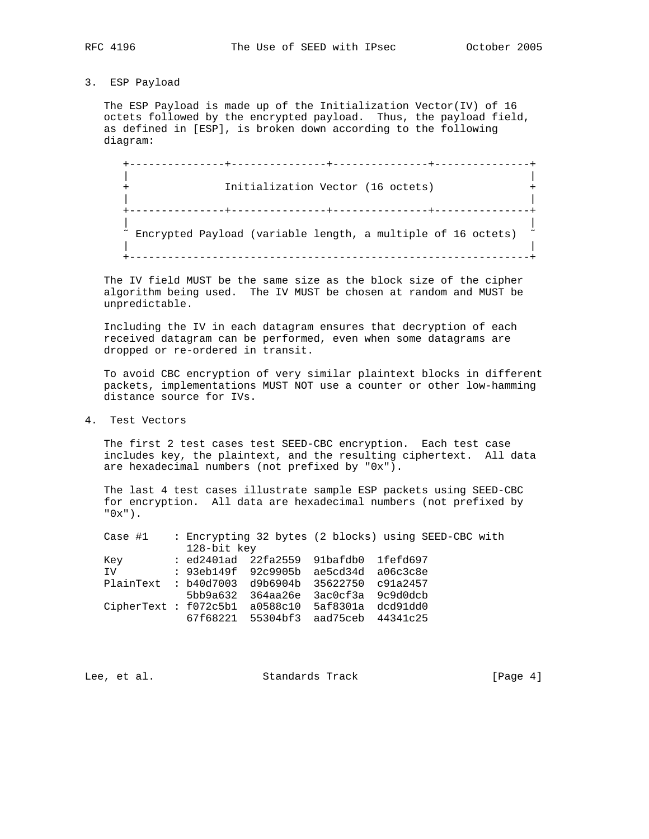# 3. ESP Payload

 The ESP Payload is made up of the Initialization Vector(IV) of 16 octets followed by the encrypted payload. Thus, the payload field, as defined in [ESP], is broken down according to the following diagram:

 +---------------+---------------+---------------+---------------+ | | Initialization Vector (16 octets) | | +---------------+---------------+---------------+---------------+ | |  $\tilde{a}$  Encrypted Payload (variable length, a multiple of 16 octets) | | +---------------------------------------------------------------+

 The IV field MUST be the same size as the block size of the cipher algorithm being used. The IV MUST be chosen at random and MUST be unpredictable.

 Including the IV in each datagram ensures that decryption of each received datagram can be performed, even when some datagrams are dropped or re-ordered in transit.

 To avoid CBC encryption of very similar plaintext blocks in different packets, implementations MUST NOT use a counter or other low-hamming distance source for IVs.

4. Test Vectors

 The first 2 test cases test SEED-CBC encryption. Each test case includes key, the plaintext, and the resulting ciphertext. All data are hexadecimal numbers (not prefixed by "0x").

 The last 4 test cases illustrate sample ESP packets using SEED-CBC for encryption. All data are hexadecimal numbers (not prefixed by  $"0x"$ ).

| Case #1                                            |                   |                                       |                   | : Encrypting 32 bytes (2 blocks) using SEED-CBC with |  |
|----------------------------------------------------|-------------------|---------------------------------------|-------------------|------------------------------------------------------|--|
|                                                    | 128-bit key       |                                       |                   |                                                      |  |
| Key                                                |                   | : ed2401ad 22fa2559 91bafdb0 1fefd697 |                   |                                                      |  |
| IV                                                 |                   | : 93eb149f 92c9905b ae5cd34d a06c3c8e |                   |                                                      |  |
| $PlainText$ : $b40d7003$ $d9b6904b$                |                   |                                       | 35622750 c91a2457 |                                                      |  |
|                                                    |                   | 5bb9a632 364aa26e                     | 3ac0cf3a 9c9d0dcb |                                                      |  |
| $CipherText : f072c5b1 a0588c10 5af8301a dc091dd0$ |                   |                                       |                   |                                                      |  |
|                                                    | 67f68221 55304bf3 |                                       | aad75ceb 44341c25 |                                                      |  |
|                                                    |                   |                                       |                   |                                                      |  |

Lee, et al. Standards Track [Page 4]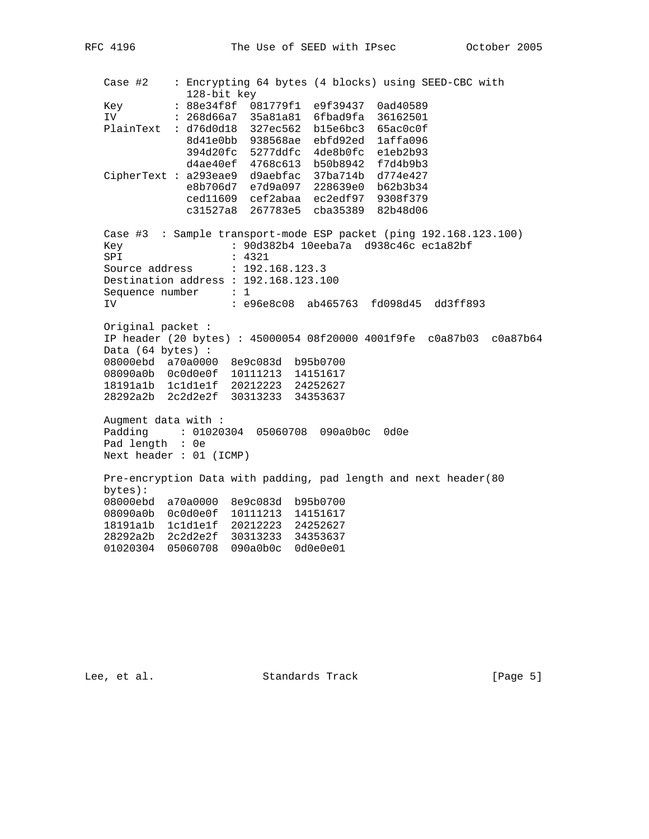Case #2 : Encrypting 64 bytes (4 blocks) using SEED-CBC with 128-bit key Key : 88e34f8f 081779f1 e9f39437 0ad40589 IV : 268d66a7 35a81a81 6fbad9fa 36162501 PlainText : d76d0d18 327ec562 b15e6bc3 65ac0c0f 8d41e0bb 938568ae ebfd92ed 1affa096 394d20fc 5277ddfc 4de8b0fc e1eb2b93 d4ae40ef 4768c613 b50b8942 f7d4b9b3 CipherText : a293eae9 d9aebfac 37ba714b d774e427 e8b706d7 e7d9a097 228639e0 b62b3b34 ced11609 cef2abaa ec2edf97 9308f379 c31527a8 267783e5 cba35389 82b48d06 Case #3 : Sample transport-mode ESP packet (ping 192.168.123.100) Key : 90d382b4 10eeba7a d938c46c ec1a82bf SPI : 4321 Source address : 192.168.123.3 Destination address : 192.168.123.100 Sequence number : 1 IV : e96e8c08 ab465763 fd098d45 dd3ff893 Original packet : IP header (20 bytes) : 45000054 08f20000 4001f9fe c0a87b03 c0a87b64 Data (64 bytes) : 08000ebd a70a0000 8e9c083d b95b0700 08090a0b 0c0d0e0f 10111213 14151617 18191a1b 1c1d1e1f 20212223 24252627 28292a2b 2c2d2e2f 30313233 34353637 Augment data with : Padding : 01020304 05060708 090a0b0c 0d0e Pad length : 0e Next header : 01 (ICMP) Pre-encryption Data with padding, pad length and next header(80 bytes): 08000ebd a70a0000 8e9c083d b95b0700 08090a0b 0c0d0e0f 10111213 14151617 18191a1b 1c1d1e1f 20212223 24252627 28292a2b 2c2d2e2f 30313233 34353637 01020304 05060708 090a0b0c 0d0e0e01

Lee, et al. Standards Track [Page 5]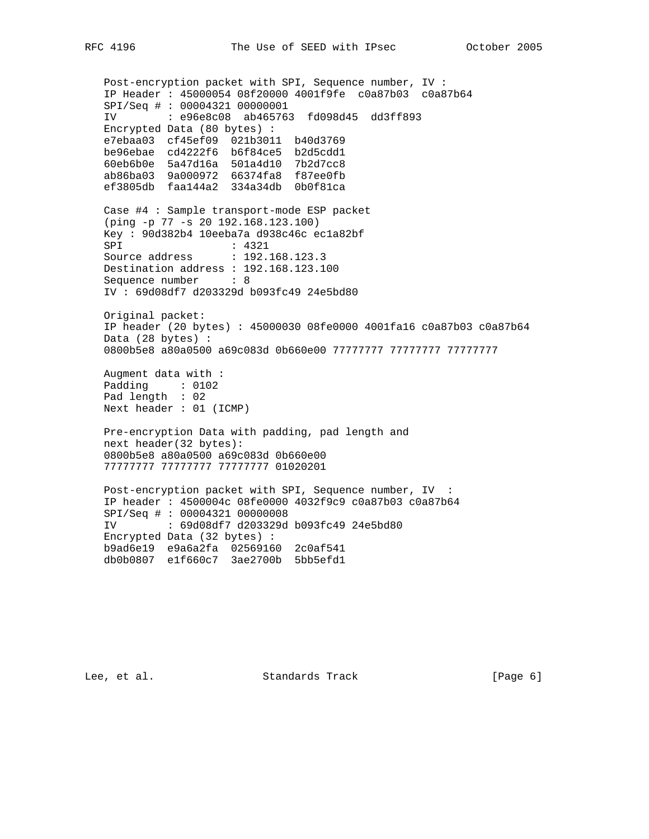Post-encryption packet with SPI, Sequence number, IV : IP Header : 45000054 08f20000 4001f9fe c0a87b03 c0a87b64 SPI/Seq # : 00004321 00000001 IV : e96e8c08 ab465763 fd098d45 dd3ff893 Encrypted Data (80 bytes) : e7ebaa03 cf45ef09 021b3011 b40d3769 be96ebae cd4222f6 b6f84ce5 b2d5cdd1 60eb6b0e 5a47d16a 501a4d10 7b2d7cc8 ab86ba03 9a000972 66374fa8 f87ee0fb ef3805db faa144a2 334a34db 0b0f81ca Case #4 : Sample transport-mode ESP packet (ping -p 77 -s 20 192.168.123.100) Key : 90d382b4 10eeba7a d938c46c ec1a82bf SPI : 4321 Source address : 192.168.123.3 Destination address : 192.168.123.100 Sequence number : 8 IV : 69d08df7 d203329d b093fc49 24e5bd80 Original packet: IP header (20 bytes) : 45000030 08fe0000 4001fa16 c0a87b03 c0a87b64 Data (28 bytes) : 0800b5e8 a80a0500 a69c083d 0b660e00 77777777 77777777 77777777 Augment data with : Padding : 0102 Pad length : 02 Next header : 01 (ICMP) Pre-encryption Data with padding, pad length and next header(32 bytes): 0800b5e8 a80a0500 a69c083d 0b660e00 77777777 77777777 77777777 01020201 Post-encryption packet with SPI, Sequence number, IV : IP header : 4500004c 08fe0000 4032f9c9 c0a87b03 c0a87b64 SPI/Seq # : 00004321 00000008 IV : 69d08df7 d203329d b093fc49 24e5bd80 Encrypted Data (32 bytes) : b9ad6e19 e9a6a2fa 02569160 2c0af541 db0b0807 e1f660c7 3ae2700b 5bb5efd1

Lee, et al. Standards Track [Page 6]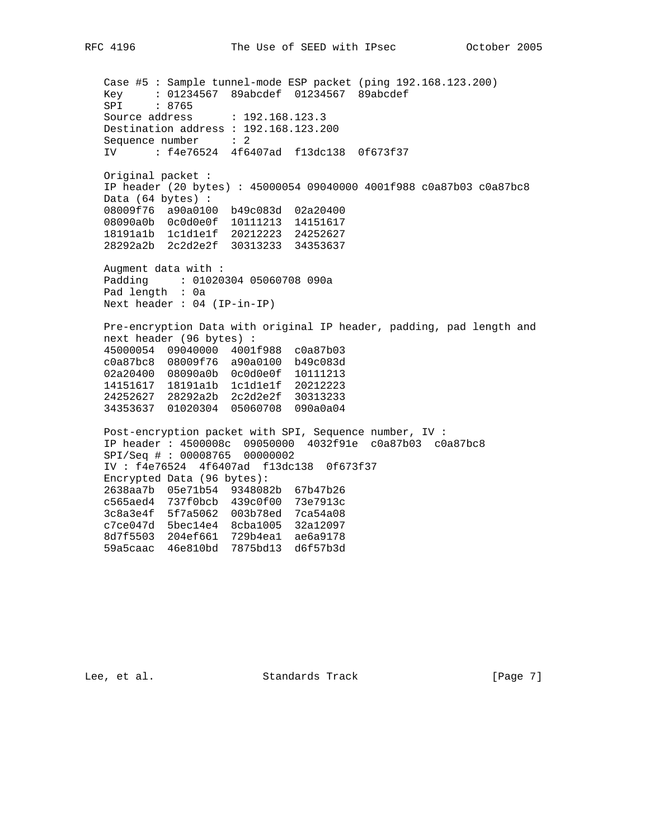Case #5 : Sample tunnel-mode ESP packet (ping 192.168.123.200) Key : 01234567 89abcdef 01234567 89abcdef SPI : 8765 Source address : 192.168.123.3 Destination address : 192.168.123.200 Sequence number : 2 IV : f4e76524 4f6407ad f13dc138 0f673f37 Original packet : IP header (20 bytes) : 45000054 09040000 4001f988 c0a87b03 c0a87bc8 Data (64 bytes) : 08009f76 a90a0100 b49c083d 02a20400 08090a0b 0c0d0e0f 10111213 14151617 18191a1b 1c1d1e1f 20212223 24252627 28292a2b 2c2d2e2f 30313233 34353637 Augment data with : Padding : 01020304 05060708 090a Pad length : 0a Next header : 04 (IP-in-IP) Pre-encryption Data with original IP header, padding, pad length and next header (96 bytes) : 45000054 09040000 4001f988 c0a87b03 c0a87bc8 08009f76 a90a0100 b49c083d 02a20400 08090a0b 0c0d0e0f 10111213 14151617 18191a1b 1c1d1e1f 20212223 24252627 28292a2b 2c2d2e2f 30313233 34353637 01020304 05060708 090a0a04 Post-encryption packet with SPI, Sequence number, IV : IP header : 4500008c 09050000 4032f91e c0a87b03 c0a87bc8 SPI/Seq # : 00008765 00000002 IV : f4e76524 4f6407ad f13dc138 0f673f37 Encrypted Data (96 bytes): 2638aa7b 05e71b54 9348082b 67b47b26 c565aed4 737f0bcb 439c0f00 73e7913c 3c8a3e4f 5f7a5062 003b78ed 7ca54a08 c7ce047d 5bec14e4 8cba1005 32a12097 8d7f5503 204ef661 729b4ea1 ae6a9178 59a5caac 46e810bd 7875bd13 d6f57b3d

Lee, et al. Standards Track [Page 7]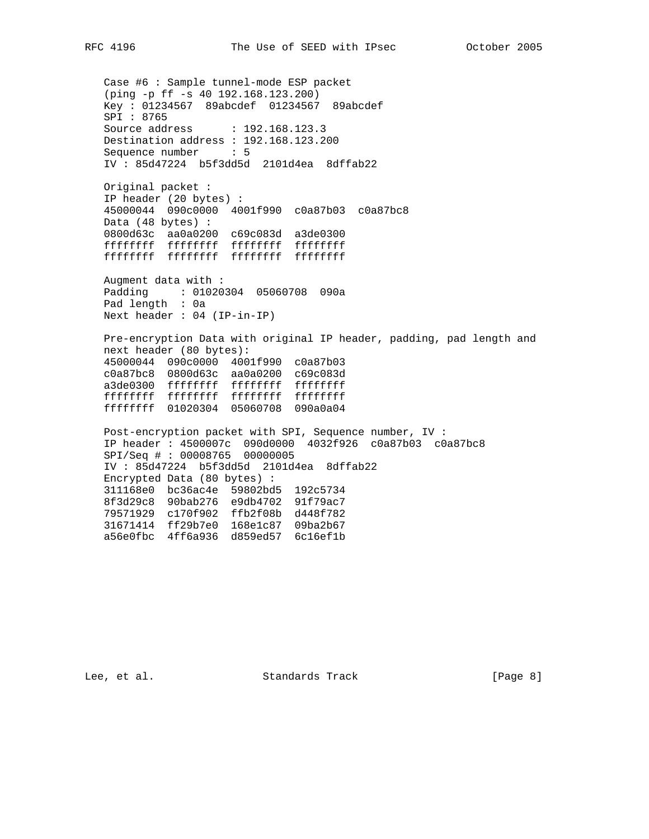Case #6 : Sample tunnel-mode ESP packet (ping -p ff -s 40 192.168.123.200) Key : 01234567 89abcdef 01234567 89abcdef SPI : 8765 Source address : 192.168.123.3 Destination address : 192.168.123.200 Sequence number : 5 IV : 85d47224 b5f3dd5d 2101d4ea 8dffab22 Original packet : IP header (20 bytes) : 45000044 090c0000 4001f990 c0a87b03 c0a87bc8 Data (48 bytes) : 0800d63c aa0a0200 c69c083d a3de0300 ffffffff ffffffff ffffffff ffffffff ffffffff ffffffff ffffffff ffffffff Augment data with : Padding : 01020304 05060708 090a Pad length : 0a Next header : 04 (IP-in-IP) Pre-encryption Data with original IP header, padding, pad length and next header (80 bytes): 45000044 090c0000 4001f990 c0a87b03 c0a87bc8 0800d63c aa0a0200 c69c083d a3de0300 ffffffff ffffffff ffffffff ffffffff ffffffff ffffffff ffffffff ffffffff 01020304 05060708 090a0a04

 Post-encryption packet with SPI, Sequence number, IV : IP header : 4500007c 090d0000 4032f926 c0a87b03 c0a87bc8 SPI/Seq # : 00008765 00000005 IV : 85d47224 b5f3dd5d 2101d4ea 8dffab22 Encrypted Data (80 bytes) : 311168e0 bc36ac4e 59802bd5 192c5734 8f3d29c8 90bab276 e9db4702 91f79ac7 79571929 c170f902 ffb2f08b d448f782 31671414 ff29b7e0 168e1c87 09ba2b67 a56e0fbc 4ff6a936 d859ed57 6c16ef1b

Lee, et al. Standards Track [Page 8]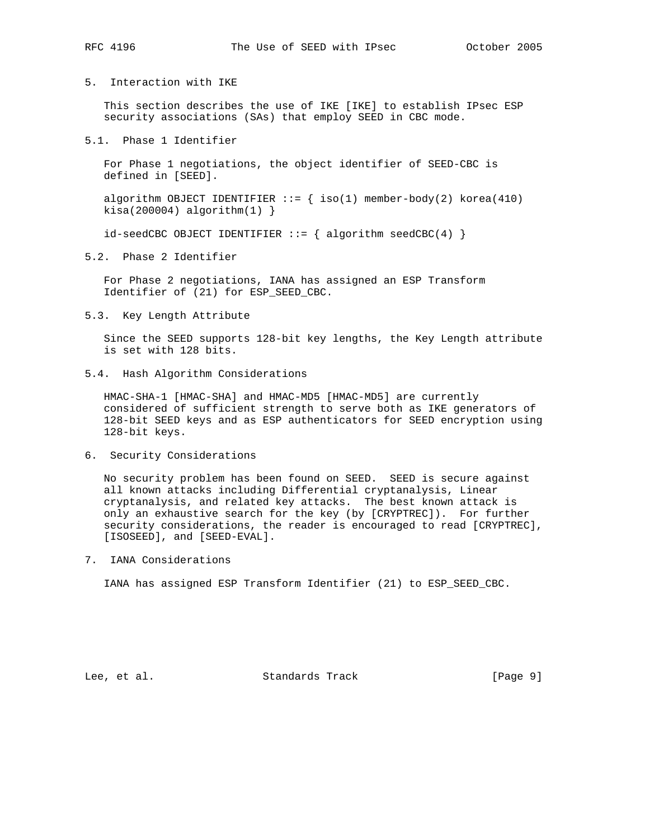## 5. Interaction with IKE

 This section describes the use of IKE [IKE] to establish IPsec ESP security associations (SAs) that employ SEED in CBC mode.

## 5.1. Phase 1 Identifier

 For Phase 1 negotiations, the object identifier of SEED-CBC is defined in [SEED].

algorithm OBJECT IDENTIFIER  $::=$  { iso(1) member-body(2) korea(410)  $kisa(200004)$  algorithm $(1)$  }

 $id$ -seedCBC OBJECT IDENTIFIER ::= { algorithm seedCBC(4) }

5.2. Phase 2 Identifier

 For Phase 2 negotiations, IANA has assigned an ESP Transform Identifier of (21) for ESP\_SEED\_CBC.

5.3. Key Length Attribute

 Since the SEED supports 128-bit key lengths, the Key Length attribute is set with 128 bits.

5.4. Hash Algorithm Considerations

 HMAC-SHA-1 [HMAC-SHA] and HMAC-MD5 [HMAC-MD5] are currently considered of sufficient strength to serve both as IKE generators of 128-bit SEED keys and as ESP authenticators for SEED encryption using 128-bit keys.

6. Security Considerations

 No security problem has been found on SEED. SEED is secure against all known attacks including Differential cryptanalysis, Linear cryptanalysis, and related key attacks. The best known attack is only an exhaustive search for the key (by [CRYPTREC]). For further security considerations, the reader is encouraged to read [CRYPTREC], [ISOSEED], and [SEED-EVAL].

7. IANA Considerations

IANA has assigned ESP Transform Identifier (21) to ESP\_SEED\_CBC.

Lee, et al. Standards Track [Page 9]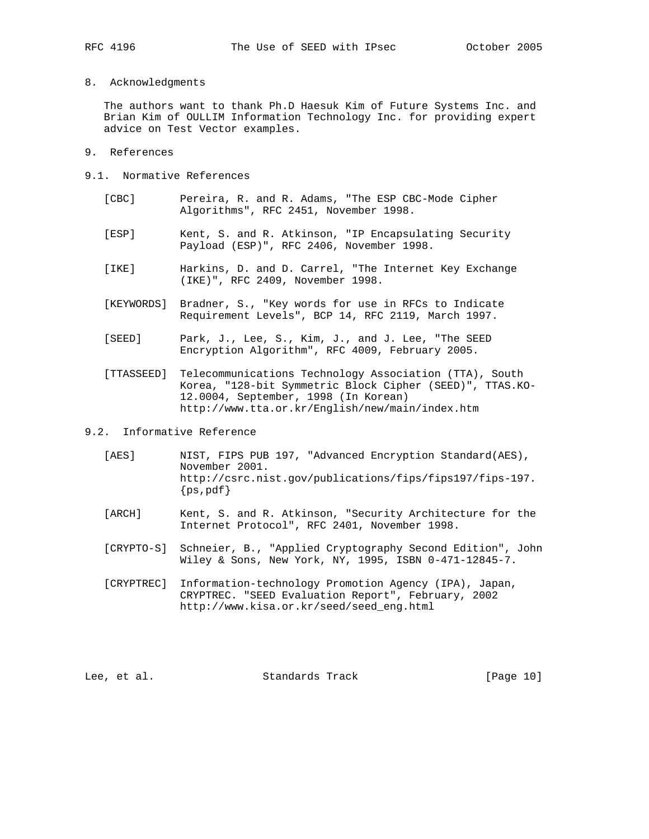8. Acknowledgments

 The authors want to thank Ph.D Haesuk Kim of Future Systems Inc. and Brian Kim of OULLIM Information Technology Inc. for providing expert advice on Test Vector examples.

- 9. References
- 9.1. Normative References
	- [CBC] Pereira, R. and R. Adams, "The ESP CBC-Mode Cipher Algorithms", RFC 2451, November 1998.
	- [ESP] Kent, S. and R. Atkinson, "IP Encapsulating Security Payload (ESP)", RFC 2406, November 1998.
	- [IKE] Harkins, D. and D. Carrel, "The Internet Key Exchange (IKE)", RFC 2409, November 1998.
	- [KEYWORDS] Bradner, S., "Key words for use in RFCs to Indicate Requirement Levels", BCP 14, RFC 2119, March 1997.
	- [SEED] Park, J., Lee, S., Kim, J., and J. Lee, "The SEED Encryption Algorithm", RFC 4009, February 2005.
	- [TTASSEED] Telecommunications Technology Association (TTA), South Korea, "128-bit Symmetric Block Cipher (SEED)", TTAS.KO- 12.0004, September, 1998 (In Korean) http://www.tta.or.kr/English/new/main/index.htm
- 9.2. Informative Reference
	- [AES] NIST, FIPS PUB 197, "Advanced Encryption Standard(AES), November 2001. http://csrc.nist.gov/publications/fips/fips197/fips-197.  ${ps, pdf}$
	- [ARCH] Kent, S. and R. Atkinson, "Security Architecture for the Internet Protocol", RFC 2401, November 1998.
	- [CRYPTO-S] Schneier, B., "Applied Cryptography Second Edition", John Wiley & Sons, New York, NY, 1995, ISBN 0-471-12845-7.
	- [CRYPTREC] Information-technology Promotion Agency (IPA), Japan, CRYPTREC. "SEED Evaluation Report", February, 2002 http://www.kisa.or.kr/seed/seed\_eng.html

Lee, et al. Standards Track [Page 10]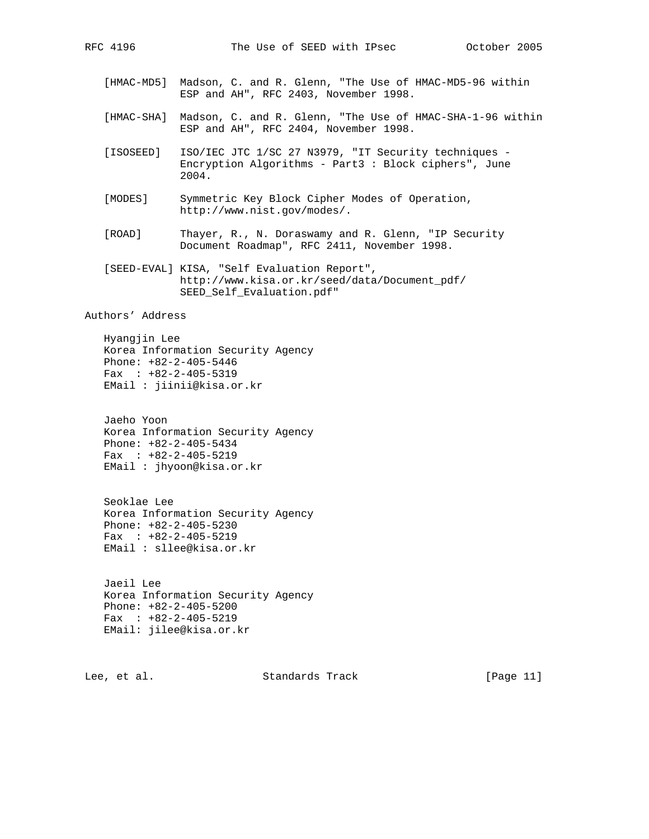- [HMAC-MD5] Madson, C. and R. Glenn, "The Use of HMAC-MD5-96 within ESP and AH", RFC 2403, November 1998.
- [HMAC-SHA] Madson, C. and R. Glenn, "The Use of HMAC-SHA-1-96 within ESP and AH", RFC 2404, November 1998.
- [ISOSEED] ISO/IEC JTC 1/SC 27 N3979, "IT Security techniques Encryption Algorithms - Part3 : Block ciphers", June 2004.
- [MODES] Symmetric Key Block Cipher Modes of Operation, http://www.nist.gov/modes/.
- [ROAD] Thayer, R., N. Doraswamy and R. Glenn, "IP Security Document Roadmap", RFC 2411, November 1998.
- [SEED-EVAL] KISA, "Self Evaluation Report", http://www.kisa.or.kr/seed/data/Document\_pdf/ SEED\_Self\_Evaluation.pdf"

Authors' Address

 Hyangjin Lee Korea Information Security Agency Phone: +82-2-405-5446 Fax : +82-2-405-5319 EMail : jiinii@kisa.or.kr

 Jaeho Yoon Korea Information Security Agency Phone: +82-2-405-5434 Fax : +82-2-405-5219 EMail : jhyoon@kisa.or.kr

 Seoklae Lee Korea Information Security Agency Phone: +82-2-405-5230 Fax : +82-2-405-5219 EMail : sllee@kisa.or.kr

 Jaeil Lee Korea Information Security Agency Phone: +82-2-405-5200 Fax : +82-2-405-5219 EMail: jilee@kisa.or.kr

Lee, et al. Standards Track [Page 11]